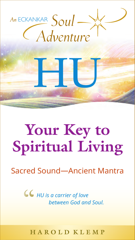

# **Your Key to Spiritual Living**

### Sacred Sound—Ancient Mantra

*HU is a carrier of love*  " *between God and Soul.*

**H a r o l d K l e m p**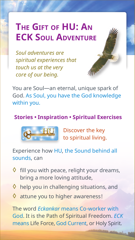# **The Gift of HU: An ECK Soul Adventure**

*Soul adventures are spiritual experiences that touch us at the very core of our being.* 



You are Soul—an eternal, unique spark of God. As Soul, you have the God knowledge within you.

### **Stories • Inspiration • Spiritual Exercises**



Discover the key to spiritual living.

Experience how HU, the Sound behind all sounds, can

- $\Diamond$  fill you with peace, relight your dreams, bring a more loving attitude,
- $\Diamond$  help you in challenging situations, and
- $\Diamond$  attune you to higher awareness!

The word *Eckankar* means Co-worker with God. It is the Path of Spiritual Freedom. *ECK* means Life Force, God Current, or Holy Spirit.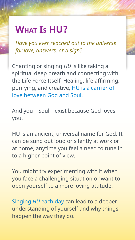## **What Is HU?**

*Have you ever reached out to the universe for love, answers, or a sign?*

Chanting or singing *HU* is like taking a spiritual deep breath and connecting with the Life Force Itself. Healing, life affirming, purifying, and creative, HU is a carrier of love between God and Soul.

And you—Soul—exist because God loves you.

HU is an ancient, universal name for God. It can be sung out loud or silently at work or at home, anytime you feel a need to tune in to a higher point of view.

You might try experimenting with it when you face a challenging situation or want to open yourself to a more loving attitude.

Singing *HU* each day can lead to a deeper understanding of yourself and why things happen the way they do.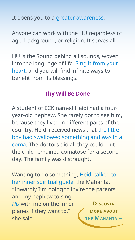It opens you to a greater awareness.

Anyone can work with the HU regardless of age, background, or religion. It serves all.

HU is the Sound behind all sounds, woven into the language of life. Sing it from your heart, and you will find infinite ways to benefit from its blessings.

#### **Thy Will Be Done**

A student of ECK named Heidi had a fouryear-old nephew. She rarely got to see him, because they lived in different parts of the country. Heidi received news that the little boy had swallowed something and was in a coma. The doctors did all they could, but the child remained comatose for a second day. The family was distraught.

Wanting to do something, Heidi talked to her inner spiritual guide, the Mahanta. "Inwardly I'm going to invite the parents and my nephew to sing *HU* with me on the inner planes if they want to," she said. **[Discover](#page-15-0) more about THE MAHANTA**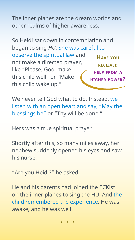The inner planes are the dream worlds and other realms of higher awareness.

**Have you received help from a higher power?** So Heidi sat down in contemplation and began to sing *HU*. She was careful to observe the spiritual law and not make a directed prayer, like "Please, God, make this child well" or "Make this child wake up."

We never tell God what to do. Instead, we listen with an open heart and say, "May the blessings be" or "Thy will be done."

Hers was a true spiritual prayer.

Shortly after this, so many miles away, her nephew suddenly opened his eyes and saw his nurse.

"Are you Heidi?" he asked.

He and his parents had joined the ECKist on the inner planes to sing the HU. And the child remembered the experience. He was awake, and he was well.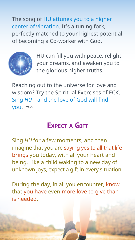The song of HU attunes you to a higher center of vibration. It's a tuning fork, perfectly matched to your highest potential of becoming a Co-worker with God.



HU can fill you with peace, relight your dreams, and awaken you to the glorious higher truths.

Reaching out to the universe for love and wisdom? Try the Spiritual Exercises of ECK. Sing *HU*—and the love of God will find  $you. \approx$ 

### **Expect a Gift**

Sing *HU* for a few moments, and then imagine that you are saying yes to all that life brings you today, with all your heart and being. Like a child waking to a new day of unknown joys, expect a gift in every situation.

During the day, in all you encounter, know that you have even more love to give than is needed.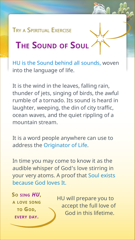### Try a Spiritual Exercise

# **The Sound of Soul**

HU is the Sound behind all sounds, woven into the language of life.

It is the wind in the leaves, falling rain, thunder of jets, singing of birds, the awful rumble of a tornado. Its sound is heard in laughter, weeping, the din of city traffic, ocean waves, and the quiet rippling of a mountain stream.

It is a word people anywhere can use to address the Originator of Life.

In time you may come to know it as the audible whisper of God's love stirring in your very atoms. A proof that Soul exists because God loves It.

**So sing** *HU***, a love song to God, every day.**

HU will prepare you to accept the full love of God in this lifetime.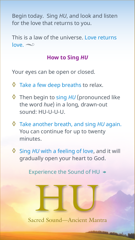Begin today. Sing *HU*, and look and listen for the love that returns to you.

This is a law of the universe. Love returns  $love. \infty$ 

#### **How to Sing** *HU*

Your eyes can be open or closed.

- $\Diamond$  Take a few deep breaths to relax.
- ◊ Then begin to sing *HU* (pronounced like the word *hue*) in a long, drawn-out sound: HU-U-U-U.
- ◊ Take another breath, and sing *HU* again. You can continue for up to twenty minutes.
- ◊ Sing *HU* with a feeling of love, and it will gradually open your heart to God.

[Experience the Sound of HU](https://www.eckankar.org/hu/a-love-song-to-god/) →

Sacred Sound—Ancient Mantra HU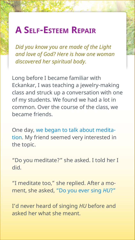# **A Self-Esteem Repair**

*Did you know you are made of the Light and love of God? Here is how one woman discovered her spiritual body.*

Long before I became familiar with Eckankar, I was teaching a jewelry-making class and struck up a conversation with one of my students. We found we had a lot in common. Over the course of the class, we became friends.

One day, we began to talk about meditation. My friend seemed very interested in the topic.

"Do you meditate?" she asked. I told her I did.

"I meditate too," she replied. After a moment, she asked, "Do you ever sing *HU*?"

I'd never heard of singing *HU* before and asked her what she meant.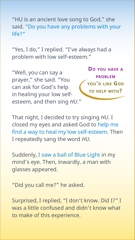"HU is an ancient love song to God," she said. "Do you have any problems with your life?"

"Yes, I do," I replied. "I've always had a problem with low self-esteem."

"Well, you can say a prayer," she said. "You can ask for God's help in healing your low selfesteem, and then sing *HU*."

**Do you have a problem you'd like God to help with?**

That night, I decided to try singing *HU*. I closed my eyes and asked God to help me find a way to heal my low self-esteem. Then I repeatedly sang the word *HU*.

Suddenly, I saw a ball of Blue Light in my mind's eye. Then, inwardly, a man with glasses appeared.

"Did you call me?" he asked.

Surprised, I replied, "I don't know. Did I?" I was a little confused and didn't know what to make of this experience.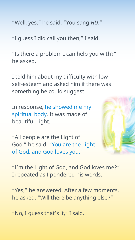"Well, yes." he said. "You sang *HU*."

"I guess I did call you then," I said.

"Is there a problem I can help you with?" he asked.

I told him about my difficulty with low self-esteem and asked him if there was something he could suggest.

In response, he showed me my spiritual body. It was made of beautiful Light.

"All people are the Light of God," he said. "You are the Light of God, and God loves you."



"I'm the Light of God, and God loves me?" I repeated as I pondered his words.

"Yes," he answered. After a few moments, he asked, "Will there be anything else?"

"No, I guess that's it," I said.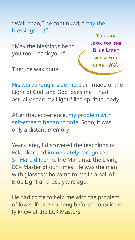"Well, then," he continued, "may the blessings be!"

"May the blessings be to you too. Thank you!"

**You can look for the Blue Light when you chant** *HU***.**

Then he was gone.

His words rang inside me. I am made of the Light of God, and God loves me! I had actually seen my Light-filled spiritual body.

After that experience, my problem with self-esteem began to fade. Soon, it was only a distant memory.

Years later, I discovered the teachings of Eckankar and immediately recognized Sri Harold Klemp, the Mahanta, the Living ECK Master of our times. He was the man with glasses who came to me in a ball of Blue Light all those years ago.

He had come to help me with the problem of low self-esteem, long before I consciously knew of the ECK Masters.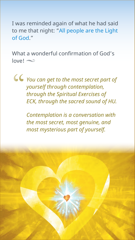I was reminded again of what he had said to me that night: "All people are the Light of God."

What a wonderful confirmation of God's  $love! \approx$ 

*You can get to the most secret part of yourself through contemplation, through the Spiritual Exercises of ECK, through the sacred sound of HU.*  "

> *Contemplation is a conversation with the most secret, most genuine, and most mysterious part of yourself.*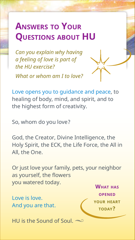# **Answers to Your Questions about HU**

*Can you explain why having a feeling of love is part of the HU exercise?*

*What or whom am I to love?*



Love opens you to guidance and peace, to healing of body, mind, and spirit, and to the highest form of creativity.

So, whom do you love?

God, the Creator, Divine Intelligence, the Holy Spirit, the ECK, the Life Force, the All in All, the One.

Or just love your family, pets, your neighbor as yourself, the flowers you watered today.

Love is love. And you are that.

**What has opened your heart today?**

HU is the Sound of Soul.  $\infty$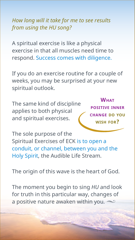*How long will it take for me to see results from using the HU song?* 

A spiritual exercise is like a physical exercise in that all muscles need time to respond. Success comes with diligence.

If you do an exercise routine for a couple of weeks, you may be surprised at your new spiritual outlook.

The same kind of discipline applies to both physical and spiritual exercises.

**What positive inner change do you wish for?**

The sole purpose of the Spiritual Exercises of ECK is to open a conduit, or channel, between you and the Holy Spirit, the Audible Life Stream.

The origin of this wave is the heart of God.

The moment you begin to sing *HU* and look for truth in this particular way, changes of a positive nature awaken within you.  $\infty$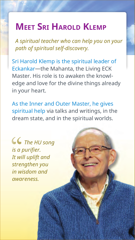## <span id="page-15-0"></span>**Meet Sri Harold Klemp**

*A spiritual teacher who can help you on your path of spiritual self-discovery.*

Sri Harold Klemp is the spiritual leader of Eckankar—the Mahanta, the Living ECK Master. His role is to awaken the knowledge and love for the divine things already in your heart.

As the Inner and Outer Master, he gives spiritual help via talks and writings, in the dream state, and in the spiritual worlds.

*The HU song is a purifier. It will uplift and strengthen you in wisdom and awareness.*  $G$ <br> $i s a \mu$ <br>It wi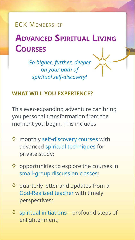**FCK MEMBERSHIP** 

# **Advanced Spiritual Living Courses**

*Go higher, further, deeper on your path of spiritual self-discovery!*

### **What will you experience?**

This ever-expanding adventure can bring you personal transformation from the moment you begin. This includes

- $\Diamond$  monthly self-discovery courses with advanced spiritual techniques for private study;
- $\Diamond$  opportunities to explore the courses in small-group discussion classes;
- $\Diamond$  quarterly letter and updates from a God-Realized teacher with timely perspectives;
- $\Diamond$  spiritual initiations—profound steps of enlightenment;